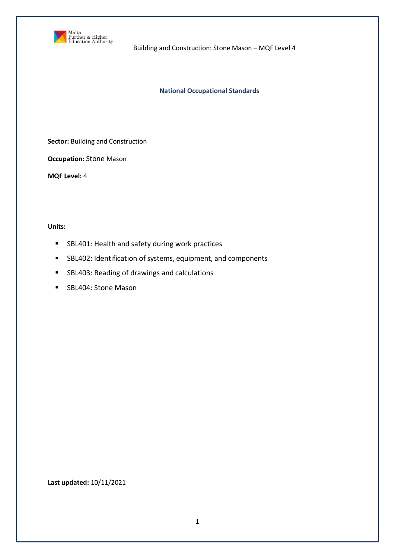

Building and Construction: Stone Mason – MQF Level 4

### **National Occupational Standards**

**Sector:** Building and Construction

**Occupation:** Stone Mason

**MQF Level:** 4

**Units:** 

- **SBL401: Health and safety during work practices**
- SBL402: Identification of systems, equipment, and components
- **SBL403: Reading of drawings and calculations**
- **SBL404: Stone Mason**

**Last updated:** 10/11/2021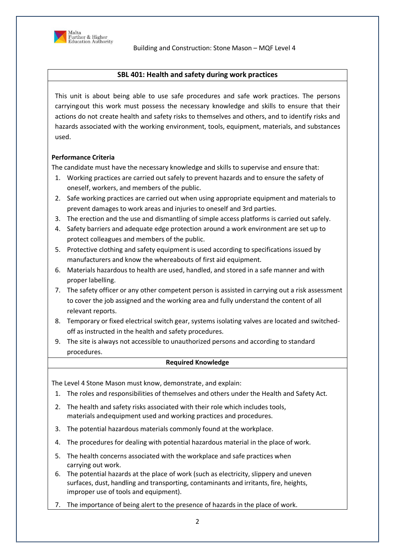

# **SBL 401: Health and safety during work practices**

This unit is about being able to use safe procedures and safe work practices. The persons carryingout this work must possess the necessary knowledge and skills to ensure that their actions do not create health and safety risks to themselves and others, and to identify risks and hazards associated with the working environment, tools, equipment, materials, and substances used.

### **Performance Criteria**

The candidate must have the necessary knowledge and skills to supervise and ensure that:

- 1. Working practices are carried out safely to prevent hazards and to ensure the safety of oneself, workers, and members of the public.
- 2. Safe working practices are carried out when using appropriate equipment and materials to prevent damages to work areas and injuries to oneself and 3rd parties.
- 3. The erection and the use and dismantling of simple access platforms is carried out safely.
- 4. Safety barriers and adequate edge protection around a work environment are set up to protect colleagues and members of the public.
- 5. Protective clothing and safety equipment is used according to specifications issued by manufacturers and know the whereabouts of first aid equipment.
- 6. Materials hazardous to health are used, handled, and stored in a safe manner and with proper labelling.
- 7. The safety officer or any other competent person is assisted in carrying out a risk assessment to cover the job assigned and the working area and fully understand the content of all relevant reports.
- 8. Temporary or fixed electrical switch gear, systems isolating valves are located and switchedoff as instructed in the health and safety procedures.
- 9. The site is always not accessible to unauthorized persons and according to standard procedures.

### **Required Knowledge**

The Level 4 Stone Mason must know, demonstrate, and explain:

- 1. The roles and responsibilities of themselves and others under the Health and Safety Act.
- 2. The health and safety risks associated with their role which includes tools, materials and equipment used and working practices and procedures.
- 3. The potential hazardous materials commonly found at the workplace.
- 4. The procedures for dealing with potential hazardous material in the place of work.
- 5. The health concerns associated with the workplace and safe practices when carrying out work.
- 6. The potential hazards at the place of work (such as electricity, slippery and uneven surfaces, dust, handling and transporting, contaminants and irritants, fire, heights, improper use of tools and equipment).
- 7. The importance of being alert to the presence of hazards in the place of work.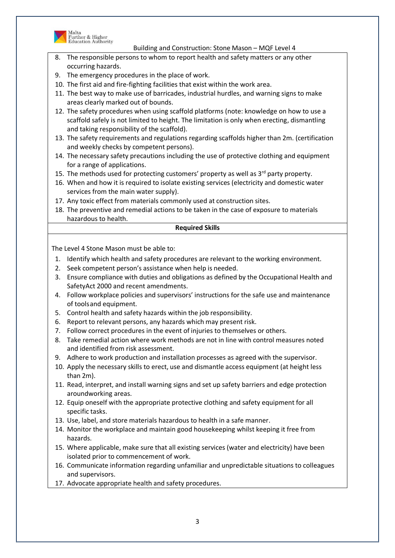

Malta<br>Further & Higher<br>Education Authority

Building and Construction: Stone Mason – MQF Level 4

- 8. The responsible persons to whom to report health and safety matters or any other occurring hazards.
- 9. The emergency procedures in the place of work.
- 10. The first aid and fire-fighting facilities that exist within the work area.
- 11. The best way to make use of barricades, industrial hurdles, and warning signs to make areas clearly marked out of bounds.
- 12. The safety procedures when using scaffold platforms (note: knowledge on how to use a scaffold safely is not limited to height. The limitation is only when erecting, dismantling and taking responsibility of the scaffold).
- 13. The safety requirements and regulations regarding scaffolds higher than 2m. (certification and weekly checks by competent persons).
- 14. The necessary safety precautions including the use of protective clothing and equipment for a range of applications.
- 15. The methods used for protecting customers' property as well as  $3<sup>rd</sup>$  party property.
- 16. When and how it is required to isolate existing services (electricity and domestic water services from the main water supply).
- 17. Any toxic effect from materials commonly used at construction sites.
- 18. The preventive and remedial actions to be taken in the case of exposure to materials hazardous to health.

#### **Required Skills**

- 1. Identify which health and safety procedures are relevant to the working environment.
- 2. Seek competent person's assistance when help is needed.
- 3. Ensure compliance with duties and obligations as defined by the Occupational Health and SafetyAct 2000 and recent amendments.
- 4. Follow workplace policies and supervisors' instructions for the safe use and maintenance of tools and equipment.
- 5. Control health and safety hazards within the job responsibility.
- 6. Report to relevant persons, any hazards which may present risk.
- 7. Follow correct procedures in the event of injuries to themselves or others.
- 8. Take remedial action where work methods are not in line with control measures noted and identified from risk assessment.
- 9. Adhere to work production and installation processes as agreed with the supervisor.
- 10. Apply the necessary skills to erect, use and dismantle access equipment (at height less than 2m).
- 11. Read, interpret, and install warning signs and set up safety barriers and edge protection aroundworking areas.
- 12. Equip oneself with the appropriate protective clothing and safety equipment for all specific tasks.
- 13. Use, label, and store materials hazardous to health in a safe manner.
- 14. Monitor the workplace and maintain good housekeeping whilst keeping it free from hazards.
- 15. Where applicable, make sure that all existing services (water and electricity) have been isolated prior to commencement of work.
- 16. Communicate information regarding unfamiliar and unpredictable situations to colleagues and supervisors.
- 17. Advocate appropriate health and safety procedures.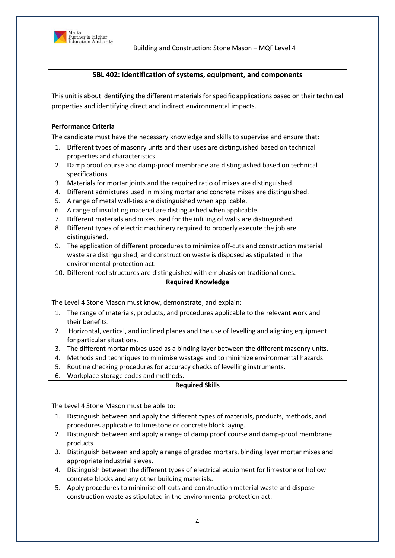

Building and Construction: Stone Mason – MQF Level 4

## **SBL 402: Identification of systems, equipment, and components**

This unit is about identifying the different materials for specific applications based on their technical properties and identifying direct and indirect environmental impacts.

# **Performance Criteria**

The candidate must have the necessary knowledge and skills to supervise and ensure that:

- 1. Different types of masonry units and their uses are distinguished based on technical properties and characteristics.
- 2. Damp proof course and damp-proof membrane are distinguished based on technical specifications.
- 3. Materials for mortar joints and the required ratio of mixes are distinguished.
- 4. Different admixtures used in mixing mortar and concrete mixes are distinguished.
- 5. A range of metal wall-ties are distinguished when applicable.
- 6. A range of insulating material are distinguished when applicable.
- 7. Different materials and mixes used for the infilling of walls are distinguished.
- 8. Different types of electric machinery required to properly execute the job are distinguished.
- 9. The application of different procedures to minimize off-cuts and construction material waste are distinguished, and construction waste is disposed as stipulated in the environmental protection act.
- 10. Different roof structures are distinguished with emphasis on traditional ones.

### **Required Knowledge**

The Level 4 Stone Mason must know, demonstrate, and explain:

- 1. The range of materials, products, and procedures applicable to the relevant work and their benefits.
- 2. Horizontal, vertical, and inclined planes and the use of levelling and aligning equipment for particular situations.
- 3. The different mortar mixes used as a binding layer between the different masonry units.
- 4. Methods and techniques to minimise wastage and to minimize environmental hazards.
- 5. Routine checking procedures for accuracy checks of levelling instruments.
- 6. Workplace storage codes and methods.

### **Required Skills**

- 1. Distinguish between and apply the different types of materials, products, methods, and procedures applicable to limestone or concrete block laying.
- 2. Distinguish between and apply a range of damp proof course and damp-proof membrane products.
- 3. Distinguish between and apply a range of graded mortars, binding layer mortar mixes and appropriate industrial sieves.
- 4. Distinguish between the different types of electrical equipment for limestone or hollow concrete blocks and any other building materials.
- 5. Apply procedures to minimise off-cuts and construction material waste and dispose construction waste as stipulated in the environmental protection act.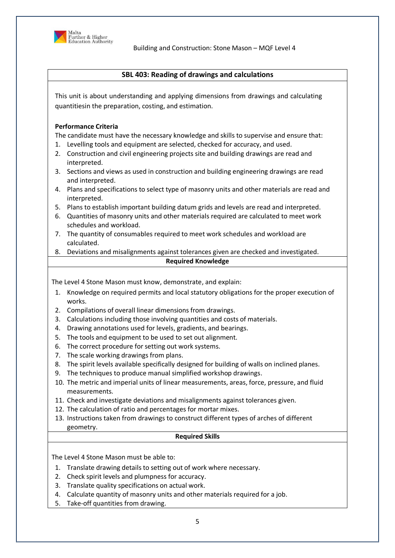

Building and Construction: Stone Mason – MQF Level 4

# **SBL 403: Reading of drawings and calculations**

This unit is about understanding and applying dimensions from drawings and calculating quantitiesin the preparation, costing, and estimation.

### **Performance Criteria**

The candidate must have the necessary knowledge and skills to supervise and ensure that:

- 1. Levelling tools and equipment are selected, checked for accuracy, and used.
- 2. Construction and civil engineering projects site and building drawings are read and interpreted.
- 3. Sections and views as used in construction and building engineering drawings are read and interpreted.
- 4. Plans and specifications to select type of masonry units and other materials are read and interpreted.
- 5. Plans to establish important building datum grids and levels are read and interpreted.
- 6. Quantities of masonry units and other materials required are calculated to meet work schedules and workload.
- 7. The quantity of consumables required to meet work schedules and workload are calculated.
- 8. Deviations and misalignments against tolerances given are checked and investigated.

### **Required Knowledge**

The Level 4 Stone Mason must know, demonstrate, and explain:

- 1. Knowledge on required permits and local statutory obligations for the proper execution of works.
- 2. Compilations of overall linear dimensions from drawings.
- 3. Calculations including those involving quantities and costs of materials.
- 4. Drawing annotations used for levels, gradients, and bearings.
- 5. The tools and equipment to be used to set out alignment.
- 6. The correct procedure for setting out work systems.
- 7. The scale working drawings from plans.
- 8. The spirit levels available specifically designed for building of walls on inclined planes.
- 9. The techniques to produce manual simplified workshop drawings.
- 10. The metric and imperial units of linear measurements, areas, force, pressure, and fluid measurements.
- 11. Check and investigate deviations and misalignments against tolerances given.
- 12. The calculation of ratio and percentages for mortar mixes.
- 13. Instructions taken from drawings to construct different types of arches of different geometry.

### **Required Skills**

- 1. Translate drawing details to setting out of work where necessary.
- 2. Check spirit levels and plumpness for accuracy.
- 3. Translate quality specifications on actual work.
- 4. Calculate quantity of masonry units and other materials required for a job.
- 5. Take-off quantities from drawing.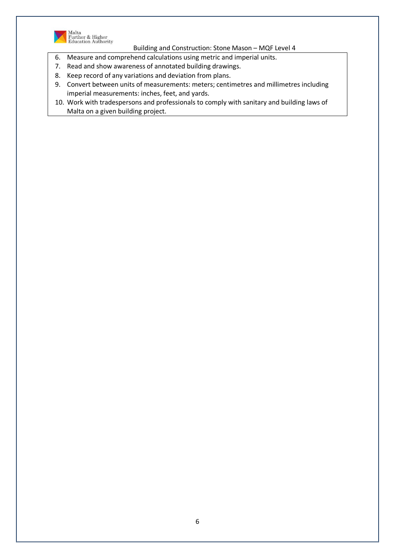

Malta<br>Further & Higher<br>Education Authority

Building and Construction: Stone Mason – MQF Level 4

- 6. Measure and comprehend calculations using metric and imperial units.
- 7. Read and show awareness of annotated building drawings.
- 8. Keep record of any variations and deviation from plans.
- 9. Convert between units of measurements: meters; centimetres and millimetres including imperial measurements: inches, feet, and yards.
- 10. Work with tradespersons and professionals to comply with sanitary and building laws of Malta on a given building project.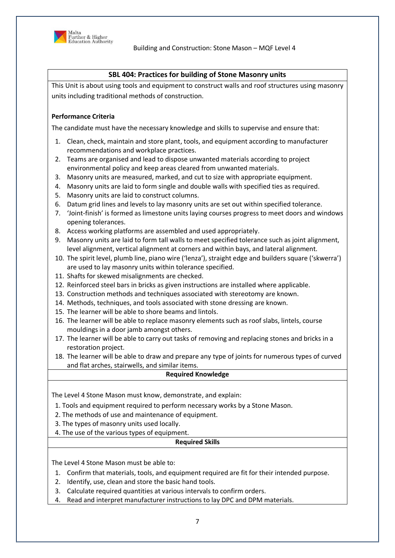

## **SBL 404: Practices for building of Stone Masonry units**

This Unit is about using tools and equipment to construct walls and roof structures using masonry units including traditional methods of construction.

## **Performance Criteria**

The candidate must have the necessary knowledge and skills to supervise and ensure that:

- 1. Clean, check, maintain and store plant, tools, and equipment according to manufacturer recommendations and workplace practices.
- 2. Teams are organised and lead to dispose unwanted materials according to project environmental policy and keep areas cleared from unwanted materials.
- 3. Masonry units are measured, marked, and cut to size with appropriate equipment.
- 4. Masonry units are laid to form single and double walls with specified ties as required.
- 5. Masonry units are laid to construct columns.
- 6. Datum grid lines and levels to lay masonry units are set out within specified tolerance.
- 7. 'Joint-finish' is formed as limestone units laying courses progress to meet doors and windows opening tolerances.
- 8. Access working platforms are assembled and used appropriately.
- 9. Masonry units are laid to form tall walls to meet specified tolerance such as joint alignment, level alignment, vertical alignment at corners and within bays, and lateral alignment.
- 10. The spirit level, plumb line, piano wire ('lenza'), straight edge and builders square ('skwerra') are used to lay masonry units within tolerance specified.
- 11. Shafts for skewed misalignments are checked.
- 12. Reinforced steel bars in bricks as given instructions are installed where applicable.
- 13. Construction methods and techniques associated with stereotomy are known.
- 14. Methods, techniques, and tools associated with stone dressing are known.
- 15. The learner will be able to shore beams and lintols.
- 16. The learner will be able to replace masonry elements such as roof slabs, lintels, course mouldings in a door jamb amongst others.
- 17. The learner will be able to carry out tasks of removing and replacing stones and bricks in a restoration project.
- 18. The learner will be able to draw and prepare any type of joints for numerous types of curved and flat arches, stairwells, and similar items.

### **Required Knowledge**

The Level 4 Stone Mason must know, demonstrate, and explain:

- 1. Tools and equipment required to perform necessary works by a Stone Mason.
- 2. The methods of use and maintenance of equipment.
- 3. The types of masonry units used locally.
- 4. The use of the various types of equipment.

### **Required Skills**

- 1. Confirm that materials, tools, and equipment required are fit for their intended purpose.
- 2. Identify, use, clean and store the basic hand tools.
- 3. Calculate required quantities at various intervals to confirm orders.
- 4. Read and interpret manufacturer instructions to lay DPC and DPM materials.